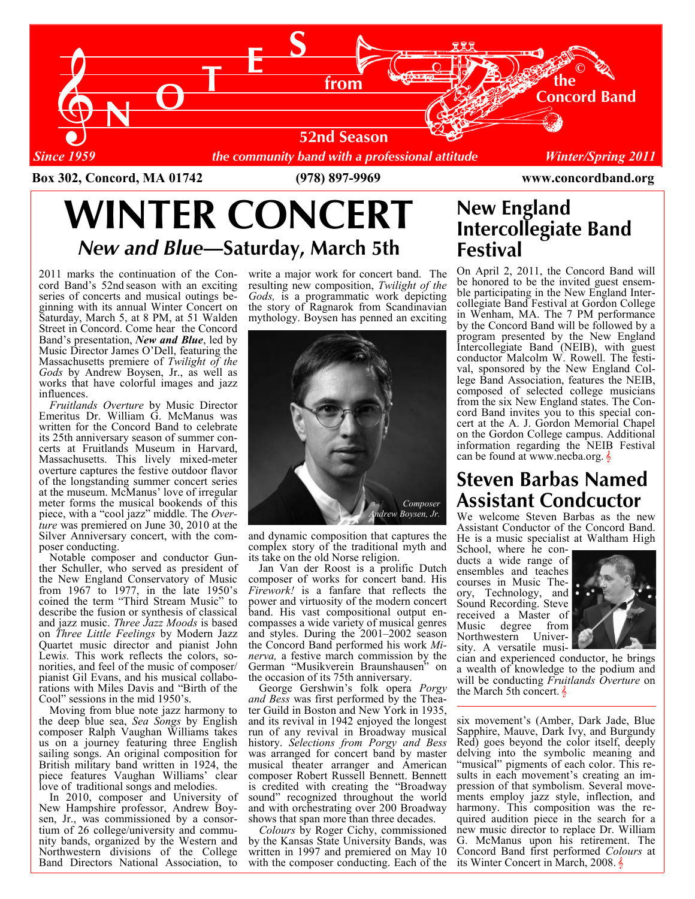

Box 302, Concord, MA 01742 (978) 897-9969 www.concordband.org

# WINTER CONCERT New and Blue—Saturday, March 5th

2011 marks the continuation of the Concord Band's 52nd season with an exciting series of concerts and musical outings beginning with its annual Winter Concert on Saturday, March 5, at 8 PM, at 51 Walden Street in Concord. Come hear the Concord Band's presentation, New and Blue, led by Music Director James O'Dell, featuring the Massachusetts premiere of Twilight of the Gods by Andrew Boysen, Jr., as well as works that have colorful images and jazz influences.

 Fruitlands Overture by Music Director Emeritus Dr. William G. McManus was written for the Concord Band to celebrate its 25th anniversary season of summer concerts at Fruitlands Museum in Harvard, Massachusetts. This lively mixed-meter overture captures the festive outdoor flavor of the longstanding summer concert series at the museum. McManus' love of irregular meter forms the musical bookends of this piece, with a "cool jazz" middle. The Overture was premiered on June 30, 2010 at the Silver Anniversary concert, with the composer conducting.

 Notable composer and conductor Gunther Schuller, who served as president of the New England Conservatory of Music from 1967 to 1977, in the late 1950's coined the term "Third Stream Music" to describe the fusion or synthesis of classical and jazz music. Three Jazz Moods is based on Three Little Feelings by Modern Jazz Quartet music director and pianist John Lewis. This work reflects the colors, sonorities, and feel of the music of composer/ pianist Gil Evans, and his musical collaborations with Miles Davis and "Birth of the Cool" sessions in the mid 1950's.

 Moving from blue note jazz harmony to the deep blue sea, Sea Songs by English composer Ralph Vaughan Williams takes us on a journey featuring three English sailing songs. An original composition for British military band written in 1924, the piece features Vaughan Williams' clear love of traditional songs and melodies.

 In 2010, composer and University of New Hampshire professor, Andrew Boysen, Jr., was commissioned by a consortium of 26 college/university and community bands, organized by the Western and Northwestern divisions of the College Band Directors National Association, to

write a major work for concert band. The resulting new composition, Twilight of the Gods, is a programmatic work depicting the story of Ragnarok from Scandinavian mythology. Boysen has penned an exciting



and dynamic composition that captures the complex story of the traditional myth and its take on the old Norse religion.

 Jan Van der Roost is a prolific Dutch composer of works for concert band. His Firework! is a fanfare that reflects the power and virtuosity of the modern concert band. His vast compositional output encompasses a wide variety of musical genres and styles. During the 2001–2002 season the Concord Band performed his work Minerva, a festive march commission by the German "Musikverein Braunshausen" on the occasion of its 75th anniversary.

 George Gershwin's folk opera Porgy and Bess was first performed by the Theater Guild in Boston and New York in 1935, and its revival in 1942 enjoyed the longest run of any revival in Broadway musical history. Selections from Porgy and Bess was arranged for concert band by master musical theater arranger and American composer Robert Russell Bennett. Bennett is credited with creating the "Broadway sound" recognized throughout the world and with orchestrating over 200 Broadway shows that span more than three decades.

 Colours by Roger Cichy, commissioned by the Kansas State University Bands, was written in 1997 and premiered on May 10 with the composer conducting. Each of the

### New England Intercollegiate Band Festival

On April 2, 2011, the Concord Band will be honored to be the invited guest ensemble participating in the New England Intercollegiate Band Festival at Gordon College in Wenham, MA. The 7 PM performance by the Concord Band will be followed by a program presented by the New England Intercollegiate Band (NEIB), with guest conductor Malcolm W. Rowell. The festival, sponsored by the New England College Band Association, features the NEIB, composed of selected college musicians from the six New England states. The Concord Band invites you to this special concert at the A. J. Gordon Memorial Chapel on the Gordon College campus. Additional information regarding the NEIB Festival can be found at www.necba.org.  $\frac{1}{2}$ 

## Steven Barbas Named Assistant Condcuctor

We welcome Steven Barbas as the new Assistant Conductor of the Concord Band. He is a music specialist at Waltham High

School, where he conducts a wide range of ensembles and teaches courses in Music Theory, Technology, and Sound Recording. Steve received a Master of<br>Music degree from Music degree from<br>Northwestern Univer-Northwestern sity. A versatile musi-



cian and experienced conductor, he brings a wealth of knowledge to the podium and will be conducting Fruitlands Overture on the March 5th concert.  $\frac{1}{6}$ 

six movement's (Amber, Dark Jade, Blue Sapphire, Mauve, Dark Ivy, and Burgundy Red) goes beyond the color itself, deeply delving into the symbolic meaning and "musical" pigments of each color. This results in each movement's creating an impression of that symbolism. Several movements employ jazz style, inflection, and harmony. This composition was the required audition piece in the search for a new music director to replace Dr. William G. McManus upon his retirement. The Concord Band first performed Colours at its Winter Concert in March, 2008.